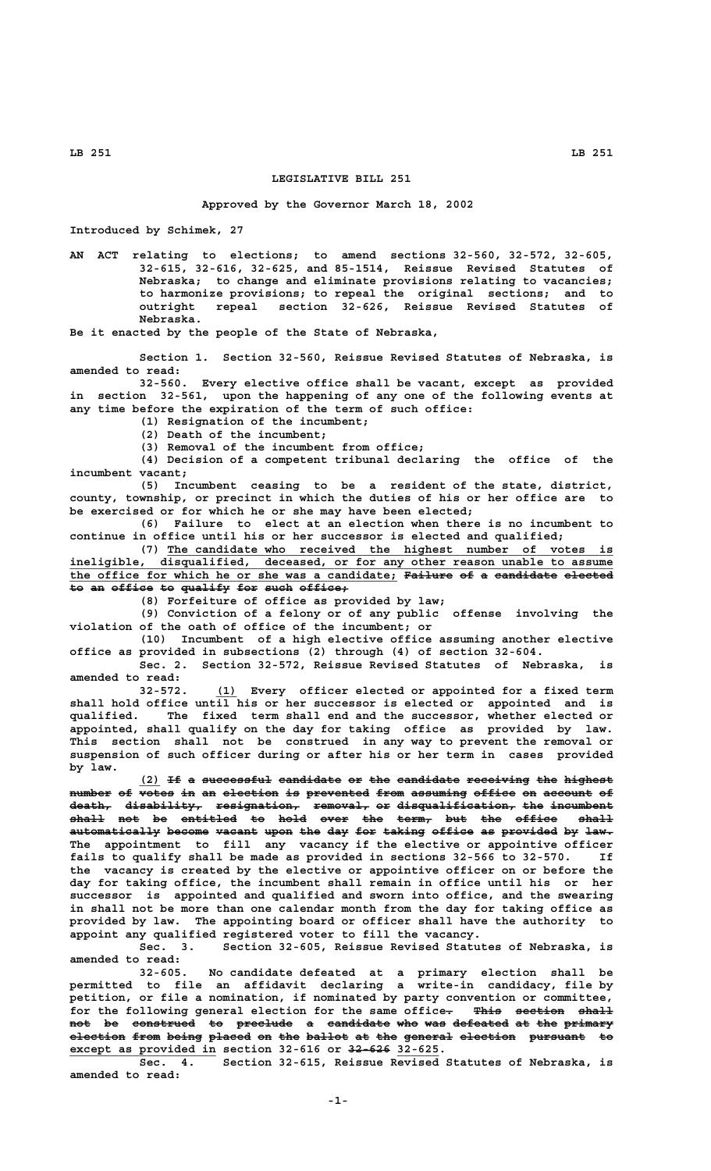## **LEGISLATIVE BILL 251**

## **Approved by the Governor March 18, 2002**

**Introduced by Schimek, 27**

**AN ACT relating to elections; to amend sections 32-560, 32-572, 32-605, 32-615, 32-616, 32-625, and 85-1514, Reissue Revised Statutes of Nebraska; to change and eliminate provisions relating to vacancies; to harmonize provisions; to repeal the original sections; and to outright repeal section 32-626, Reissue Revised Statutes of Nebraska.**

**Be it enacted by the people of the State of Nebraska,**

**Section 1. Section 32-560, Reissue Revised Statutes of Nebraska, is amended to read:**

**32-560. Every elective office shall be vacant, except as provided in section 32-561, upon the happening of any one of the following events at any time before the expiration of the term of such office:**

**(1) Resignation of the incumbent;**

**(2) Death of the incumbent;**

**(3) Removal of the incumbent from office;**

**(4) Decision of a competent tribunal declaring the office of the incumbent vacant;**

**(5) Incumbent ceasing to be a resident of the state, district, county, township, or precinct in which the duties of his or her office are to be exercised or for which he or she may have been elected;**

**(6) Failure to elect at an election when there is no incumbent to continue in office until his or her successor is elected and qualified;**

(7) The candidate who received the highest number of votes is ineligible, disqualified, deceased, or for any other reason unable to assume  **\_\_\_\_\_\_\_\_\_\_\_\_\_\_\_\_\_\_\_\_\_\_\_\_\_\_\_\_\_\_\_\_\_\_\_\_\_\_\_\_\_\_\_\_\_\_\_\_\_\_\_\_\_\_\_\_\_\_\_\_\_\_\_\_\_\_\_\_\_\_\_\_\_\_\_\_\_\_ ineligible, disqualified, deceased, or for any other reason unable to assume** the office for which he or she was a candidate; Failure of a candidate elected to an office to qualify for such office,

**(8) Forfeiture of office as provided by law;**

**(9) Conviction of a felony or of any public offense involving the violation of the oath of office of the incumbent; or**

**(10) Incumbent of a high elective office assuming another elective office as provided in subsections (2) through (4) of section 32-604.**

**Sec. 2. Section 32-572, Reissue Revised Statutes of Nebraska, is amended to read:**

 **\_\_\_ 32-572. (1) Every officer elected or appointed for a fixed term shall hold office until his or her successor is elected or appointed and is qualified. The fixed term shall end and the successor, whether elected or appointed, shall qualify on the day for taking office as provided by law. This section shall not be construed in any way to prevent the removal or suspension of such officer during or after his or her term in cases provided by law.**

(2) If a successful candidate or the candidate receiving the highest number of  $\overline{---}$  of  $\overline{+}$  an election is prevented from assuming office on account of  $\overline{\text{death}}$  d<del>isability, resignation, removal,</del> or d<del>isqualification, the incumbent</del> **shall not be entitled to hold over the term, but the office shall ————— ——— —— ———————— —— ———— ———— ——— ————— ——— ——— —————— ————** automatically become vacant upon the day for taking office as provided by law. **The appointment to fill any vacancy if the elective or appointive officer fails to qualify shall be made as provided in sections 32-566 to 32-570. If the vacancy is created by the elective or appointive officer on or before the day for taking office, the incumbent shall remain in office until his or her successor is appointed and qualified and sworn into office, and the swearing in shall not be more than one calendar month from the day for taking office as provided by law. The appointing board or officer shall have the authority to appoint any qualified registered voter to fill the vacancy.**

**Sec. 3. Section 32-605, Reissue Revised Statutes of Nebraska, is amended to read:**

**32-605. No candidate defeated at a primary election shall be permitted to file an affidavit declaring a write-in candidacy, file by petition, or file a nomination, if nominated by party convention or committee,** for the following general election for the same office. This section shall **not be construed to preclude a candidate who was defeated at the primary ——— —— ————————— —— ———————— — ————————— ——— ——— ———————— —— ——— —————— election from being placed on the ballot at the general election pursuant to ———————— ———— ————— —————— —— ——— —————— —— ——— ——————— ———————— ———————— —— \_\_\_\_\_\_\_\_\_\_\_\_\_\_\_\_\_\_\_\_\_ —————— \_\_\_\_\_\_ except as provided in section 32-616 or 32-626 32-625.**

**Sec. 4. Section 32-615, Reissue Revised Statutes of Nebraska, is amended to read:**